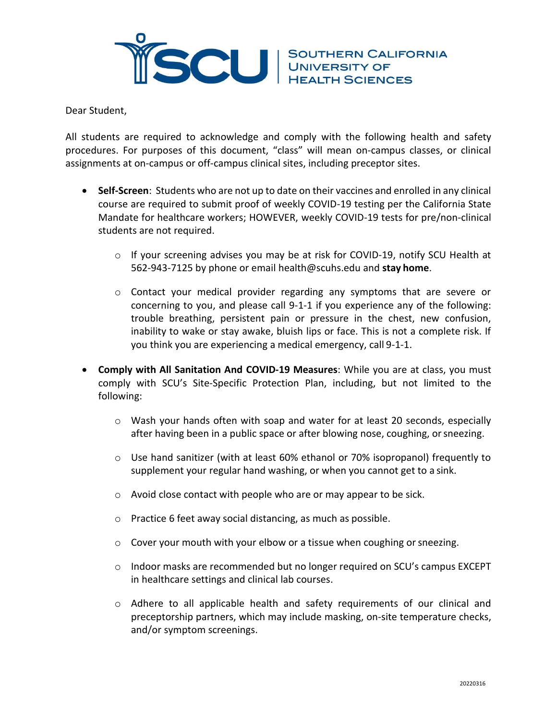

Dear Student,

All students are required to acknowledge and comply with the following health and safety procedures. For purposes of this document, "class" will mean on‐campus classes, or clinical assignments at on‐campus or off‐campus clinical sites, including preceptor sites.

- **Self‐Screen**: Students who are not up to date on their vaccines and enrolled in any clinical course are required to submit proof of weekly COVID-19 testing per the California State Mandate for healthcare workers; HOWEVER, weekly COVID-19 tests for pre/non-clinical students are not required.
	- o If your screening advises you may be at risk for COVID‐19, notify SCU Health at 562‐943‐7125 by phone or email [health@scuhs.edu a](mailto:health@scuhs.edu)nd **stay home**.
	- $\circ$  Contact your medical provider regarding any symptoms that are severe or concerning to you, and please call 9‐1‐1 if you experience any of the following: trouble breathing, persistent pain or pressure in the chest, new confusion, inability to wake or stay awake, bluish lips or face. This is not a complete risk. If you think you are experiencing a medical emergency, call 9‐1‐1.
- **Comply with All Sanitation And COVID-19 Measures**: While you are at class, you must comply with SCU's Site‐Specific Protection Plan, including, but not limited to the following:
	- $\circ$  Wash your hands often with soap and water for at least 20 seconds, especially after having been in a public space or after blowing nose, coughing, orsneezing.
	- $\circ$  Use hand sanitizer (with at least 60% ethanol or 70% isopropanol) frequently to supplement your regular hand washing, or when you cannot get to a sink.
	- o Avoid close contact with people who are or may appear to be sick.
	- o Practice 6 feet away social distancing, as much as possible.
	- $\circ$  Cover your mouth with your elbow or a tissue when coughing or sneezing.
	- $\circ$  Indoor masks are recommended but no longer required on SCU's campus EXCEPT in healthcare settings and clinical lab courses.
	- o Adhere to all applicable health and safety requirements of our clinical and preceptorship partners, which may include masking, on‐site temperature checks, and/or symptom screenings.